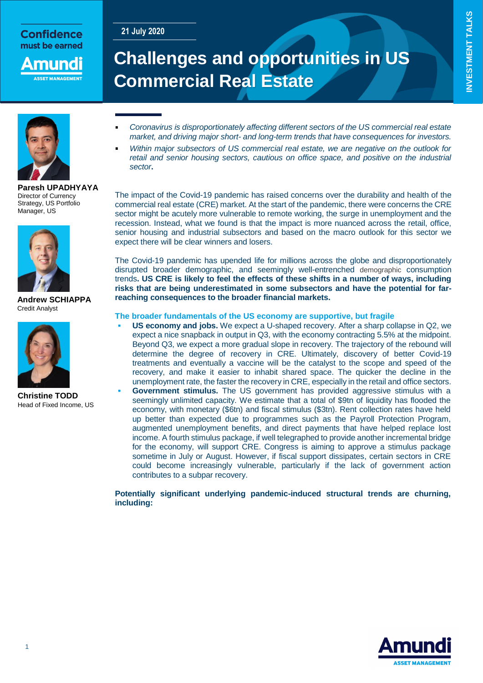## **21 July 2020**

**Confidence** must be earned

nund **SET MANAGEME** 

# **Challenges and opportunities in US Commercial Real Estate**



**Paresh UPADHYAYA** Director of Currency Strategy, US Portfolio Manager, US



**Andrew SCHIAPPA** Credit Analyst



**Christine TODD** Head of Fixed Income, US

#### *Coronavirus is disproportionately affecting different sectors of the US commercial real estate market, and driving major short- and long-term trends that have consequences for investors.*

 *Within major subsectors of US commercial real estate, we are negative on the outlook for*  retail and senior housing sectors, cautious on office space, and positive on the industrial *sector***.**

The impact of the Covid-19 pandemic has raised concerns over the durability and health of the commercial real estate (CRE) market. At the start of the pandemic, there were concerns the CRE sector might be acutely more vulnerable to remote working, the surge in unemployment and the recession. Instead, what we found is that the impact is more nuanced across the retail, office, senior housing and industrial subsectors and based on the macro outlook for this sector we expect there will be clear winners and losers.

The Covid-19 pandemic has upended life for millions across the globe and disproportionately disrupted broader demographic, and seemingly well-entrenched demographic consumption trends**. US CRE is likely to feel the effects of these shifts in a number of ways, including risks that are being underestimated in some subsectors and have the potential for farreaching consequences to the broader financial markets.**

#### **The broader fundamentals of the US economy are supportive, but fragile**

 **US economy and jobs.** We expect a U-shaped recovery. After a sharp collapse in Q2, we expect a nice snapback in output in Q3, with the economy contracting 5.5% at the midpoint. Beyond Q3, we expect a more gradual slope in recovery. The trajectory of the rebound will determine the degree of recovery in CRE. Ultimately, discovery of better Covid-19 treatments and eventually a vaccine will be the catalyst to the scope and speed of the recovery, and make it easier to inhabit shared space. The quicker the decline in the unemployment rate, the faster the recovery in CRE, especially in the retail and office sectors. **Government stimulus.** The US government has provided aggressive stimulus with a seemingly unlimited capacity. We estimate that a total of \$9tn of liquidity has flooded the economy, with monetary (\$6tn) and fiscal stimulus (\$3tn). Rent collection rates have held up better than expected due to programmes such as the Payroll Protection Program, augmented unemployment benefits, and direct payments that have helped replace lost income. A fourth stimulus package, if well telegraphed to provide another incremental bridge for the economy, will support CRE. Congress is aiming to approve a stimulus package sometime in July or August. However, if fiscal support dissipates, certain sectors in CRE could become increasingly vulnerable, particularly if the lack of government action contributes to a subpar recovery.

**Potentially significant underlying pandemic-induced structural trends are churning, including:**

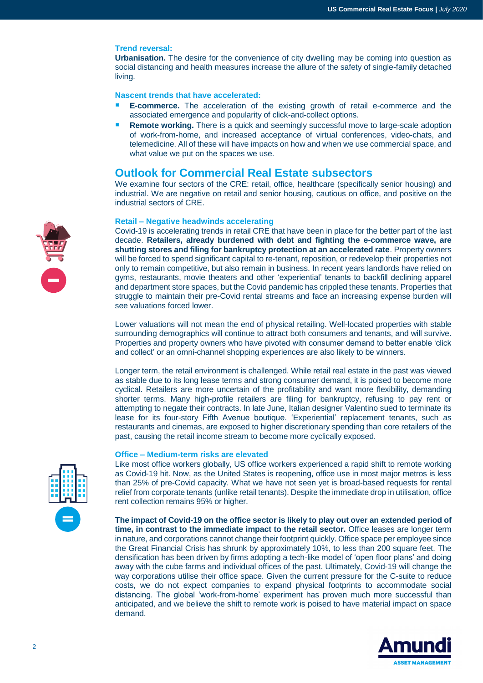#### **Trend reversal:**

**Urbanisation.** The desire for the convenience of city dwelling may be coming into question as social distancing and health measures increase the allure of the safety of single-family detached living.

**Nascent trends that have accelerated:**

- **E-commerce.** The acceleration of the existing growth of retail e-commerce and the associated emergence and popularity of click-and-collect options.
- **Remote working.** There is a quick and seemingly successful move to large-scale adoption of work-from-home, and increased acceptance of virtual conferences, video-chats, and telemedicine. All of these will have impacts on how and when we use commercial space, and what value we put on the spaces we use.

### **Outlook for Commercial Real Estate subsectors**

We examine four sectors of the CRE: retail, office, healthcare (specifically senior housing) and industrial. We are negative on retail and senior housing, cautious on office, and positive on the industrial sectors of CRE.

#### **Retail – Negative headwinds accelerating**

Covid-19 is accelerating trends in retail CRE that have been in place for the better part of the last decade. **Retailers, already burdened with debt and fighting the e-commerce wave, are shutting stores and filing for bankruptcy protection at an accelerated rate**. Property owners will be forced to spend significant capital to re-tenant, reposition, or redevelop their properties not only to remain competitive, but also remain in business. In recent years landlords have relied on gyms, restaurants, movie theaters and other 'experiential' tenants to backfill declining apparel and department store spaces, but the Covid pandemic has crippled these tenants. Properties that struggle to maintain their pre-Covid rental streams and face an increasing expense burden will see valuations forced lower.

Lower valuations will not mean the end of physical retailing. Well-located properties with stable surrounding demographics will continue to attract both consumers and tenants, and will survive. Properties and property owners who have pivoted with consumer demand to better enable 'click and collect' or an omni-channel shopping experiences are also likely to be winners.

Longer term, the retail environment is challenged. While retail real estate in the past was viewed as stable due to its long lease terms and strong consumer demand, it is poised to become more cyclical. Retailers are more uncertain of the profitability and want more flexibility, demanding shorter terms. Many high-profile retailers are filing for bankruptcy, refusing to pay rent or attempting to negate their contracts. In late June, Italian designer Valentino sued to terminate its lease for its four-story Fifth Avenue boutique. 'Experiential' replacement tenants, such as restaurants and cinemas, are exposed to higher discretionary spending than core retailers of the past, causing the retail income stream to become more cyclically exposed.

#### **Office – Medium-term risks are elevated**

Like most office workers globally, US office workers experienced a rapid shift to remote working as Covid-19 hit. Now, as the United States is reopening, office use in most major metros is less than 25% of pre-Covid capacity. What we have not seen yet is broad-based requests for rental relief from corporate tenants (unlike retail tenants). Despite the immediate drop in utilisation, office rent collection remains 95% or higher.

**The impact of Covid-19 on the office sector is likely to play out over an extended period of time, in contrast to the immediate impact to the retail sector.** Office leases are longer term in nature, and corporations cannot change their footprint quickly. Office space per employee since the Great Financial Crisis has shrunk by approximately 10%, to less than 200 square feet. The densification has been driven by firms adopting a tech-like model of 'open floor plans' and doing away with the cube farms and individual offices of the past. Ultimately, Covid-19 will change the way corporations utilise their office space. Given the current pressure for the C-suite to reduce costs, we do not expect companies to expand physical footprints to accommodate social distancing. The global 'work-from-home' experiment has proven much more successful than anticipated, and we believe the shift to remote work is poised to have material impact on space demand.





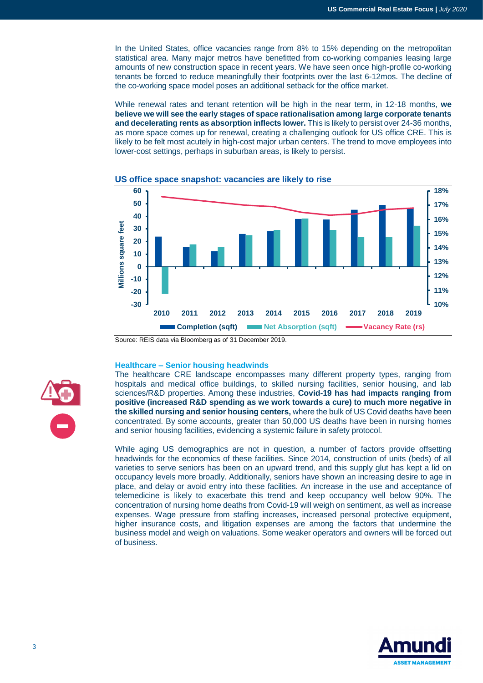In the United States, office vacancies range from 8% to 15% depending on the metropolitan statistical area. Many major metros have benefitted from co-working companies leasing large amounts of new construction space in recent years. We have seen once high-profile co-working tenants be forced to reduce meaningfully their footprints over the last 6-12mos. The decline of the co-working space model poses an additional setback for the office market.

While renewal rates and tenant retention will be high in the near term, in 12-18 months, **we believe we will see the early stages of space rationalisation among large corporate tenants and decelerating rents as absorption inflects lower.** This is likely to persist over 24-36 months, as more space comes up for renewal, creating a challenging outlook for US office CRE. This is likely to be felt most acutely in high-cost major urban centers. The trend to move employees into lower-cost settings, perhaps in suburban areas, is likely to persist.



#### **US office space snapshot: vacancies are likely to rise**

#### **Healthcare – Senior housing headwinds**

The healthcare CRE landscape encompasses many different property types, ranging from hospitals and medical office buildings, to skilled nursing facilities, senior housing, and lab sciences/R&D properties. Among these industries, **Covid-19 has had impacts ranging from positive (increased R&D spending as we work towards a cure) to much more negative in the skilled nursing and senior housing centers,** where the bulk of US Covid deaths have been concentrated. By some accounts, greater than 50,000 US deaths have been in nursing homes and senior housing facilities, evidencing a systemic failure in safety protocol.

While aging US demographics are not in question, a number of factors provide offsetting headwinds for the economics of these facilities. Since 2014, construction of units (beds) of all varieties to serve seniors has been on an upward trend, and this supply glut has kept a lid on occupancy levels more broadly. Additionally, seniors have shown an increasing desire to age in place, and delay or avoid entry into these facilities. An increase in the use and acceptance of telemedicine is likely to exacerbate this trend and keep occupancy well below 90%. The concentration of nursing home deaths from Covid-19 will weigh on sentiment, as well as increase expenses. Wage pressure from staffing increases, increased personal protective equipment, higher insurance costs, and litigation expenses are among the factors that undermine the business model and weigh on valuations. Some weaker operators and owners will be forced out of business.





Source: REIS data via Bloomberg as of 31 December 2019.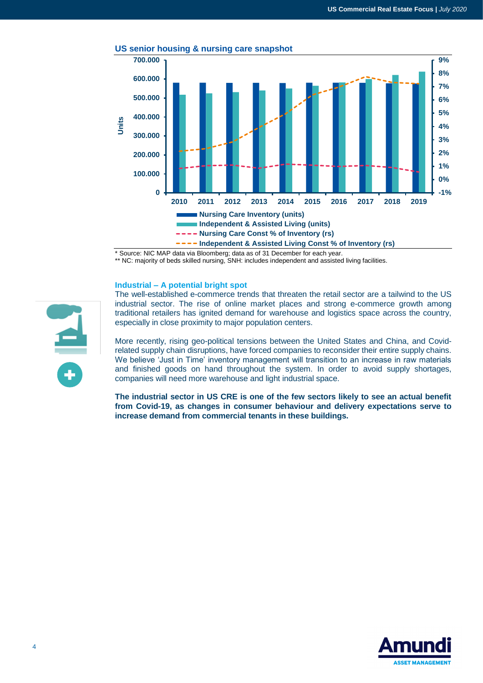

#### **US senior housing & nursing care snapshot**

\* Source: NIC MAP data via Bloomberg; data as of 31 December for each year.

\*\* NC: majority of beds skilled nursing, SNH: includes independent and assisted living facilities.

#### **Industrial – A potential bright spot**

The well-established e-commerce trends that threaten the retail sector are a tailwind to the US industrial sector. The rise of online market places and strong e-commerce growth among traditional retailers has ignited demand for warehouse and logistics space across the country, especially in close proximity to major population centers.

More recently, rising geo-political tensions between the United States and China, and Covidrelated supply chain disruptions, have forced companies to reconsider their entire supply chains. We believe 'Just in Time' inventory management will transition to an increase in raw materials and finished goods on hand throughout the system. In order to avoid supply shortages, companies will need more warehouse and light industrial space.

**The industrial sector in US CRE is one of the few sectors likely to see an actual benefit from Covid-19, as changes in consumer behaviour and delivery expectations serve to increase demand from commercial tenants in these buildings.** 



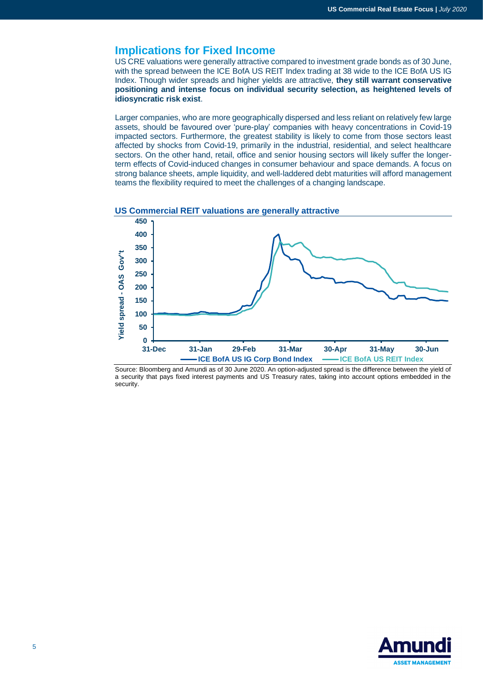# **Implications for Fixed Income**

US CRE valuations were generally attractive compared to investment grade bonds as of 30 June, with the spread between the ICE BofA US REIT Index trading at 38 wide to the ICE BofA US IG Index. Though wider spreads and higher yields are attractive, **they still warrant conservative positioning and intense focus on individual security selection, as heightened levels of idiosyncratic risk exist**.

Larger companies, who are more geographically dispersed and less reliant on relatively few large assets, should be favoured over 'pure-play' companies with heavy concentrations in Covid-19 impacted sectors. Furthermore, the greatest stability is likely to come from those sectors least affected by shocks from Covid-19, primarily in the industrial, residential, and select healthcare sectors. On the other hand, retail, office and senior housing sectors will likely suffer the longerterm effects of Covid-induced changes in consumer behaviour and space demands. A focus on strong balance sheets, ample liquidity, and well-laddered debt maturities will afford management teams the flexibility required to meet the challenges of a changing landscape.



#### **US Commercial REIT valuations are generally attractive**

Source: Bloomberg and Amundi as of 30 June 2020. An option-adjusted spread is the difference between the yield of a security that pays fixed interest payments and US Treasury rates, taking into account options embedded in the security.